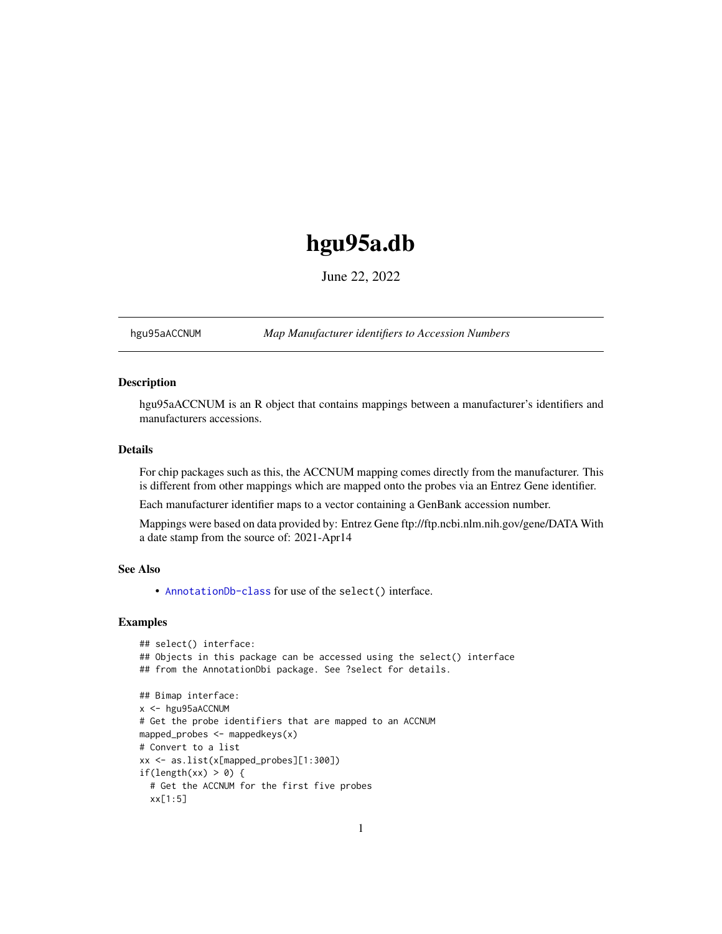# <span id="page-0-1"></span>hgu95a.db

June 22, 2022

<span id="page-0-0"></span>hgu95aACCNUM *Map Manufacturer identifiers to Accession Numbers*

# Description

hgu95aACCNUM is an R object that contains mappings between a manufacturer's identifiers and manufacturers accessions.

# Details

For chip packages such as this, the ACCNUM mapping comes directly from the manufacturer. This is different from other mappings which are mapped onto the probes via an Entrez Gene identifier.

Each manufacturer identifier maps to a vector containing a GenBank accession number.

Mappings were based on data provided by: Entrez Gene ftp://ftp.ncbi.nlm.nih.gov/gene/DATA With a date stamp from the source of: 2021-Apr14

# See Also

• AnnotationDb-class for use of the select() interface.

```
## select() interface:
## Objects in this package can be accessed using the select() interface
## from the AnnotationDbi package. See ?select for details.
## Bimap interface:
x <- hgu95aACCNUM
# Get the probe identifiers that are mapped to an ACCNUM
mapped_probes <- mappedkeys(x)
# Convert to a list
xx <- as.list(x[mapped_probes][1:300])
if(length(xx) > 0) {
 # Get the ACCNUM for the first five probes
 xx[1:5]
```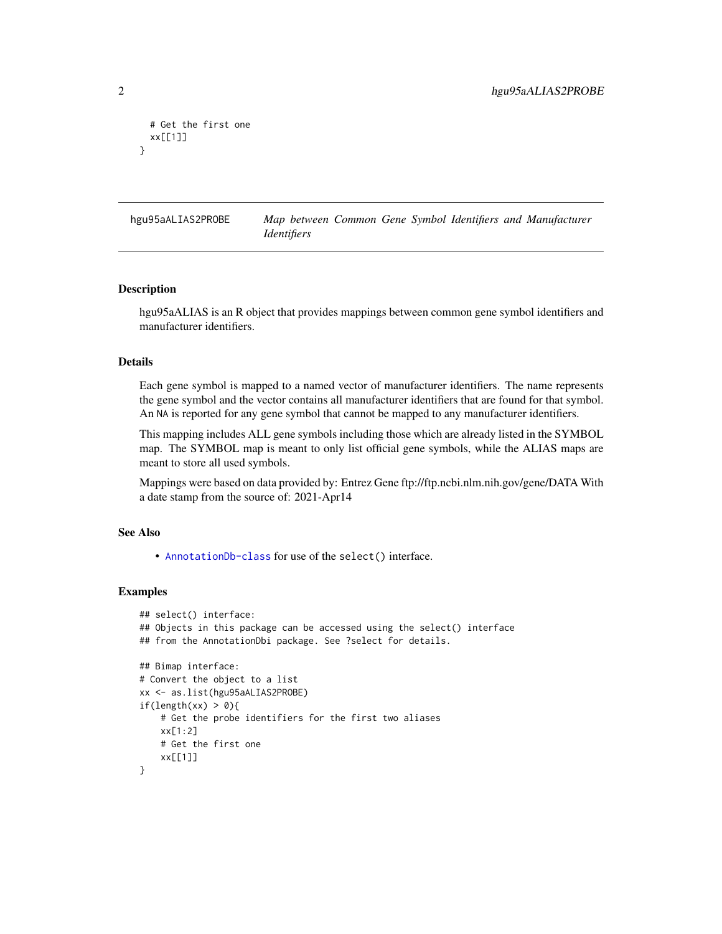```
# Get the first one
 xx[[1]]
}
```
hgu95aALIAS2PROBE *Map between Common Gene Symbol Identifiers and Manufacturer Identifiers*

#### Description

hgu95aALIAS is an R object that provides mappings between common gene symbol identifiers and manufacturer identifiers.

# Details

Each gene symbol is mapped to a named vector of manufacturer identifiers. The name represents the gene symbol and the vector contains all manufacturer identifiers that are found for that symbol. An NA is reported for any gene symbol that cannot be mapped to any manufacturer identifiers.

This mapping includes ALL gene symbols including those which are already listed in the SYMBOL map. The SYMBOL map is meant to only list official gene symbols, while the ALIAS maps are meant to store all used symbols.

Mappings were based on data provided by: Entrez Gene ftp://ftp.ncbi.nlm.nih.gov/gene/DATA With a date stamp from the source of: 2021-Apr14

# See Also

• [AnnotationDb-class](#page-0-0) for use of the select() interface.

```
## select() interface:
## Objects in this package can be accessed using the select() interface
## from the AnnotationDbi package. See ?select for details.
## Bimap interface:
# Convert the object to a list
xx <- as.list(hgu95aALIAS2PROBE)
if(length(xx) > 0){
    # Get the probe identifiers for the first two aliases
   xx[1:2]
   # Get the first one
   xx[[1]]
}
```
<span id="page-1-0"></span>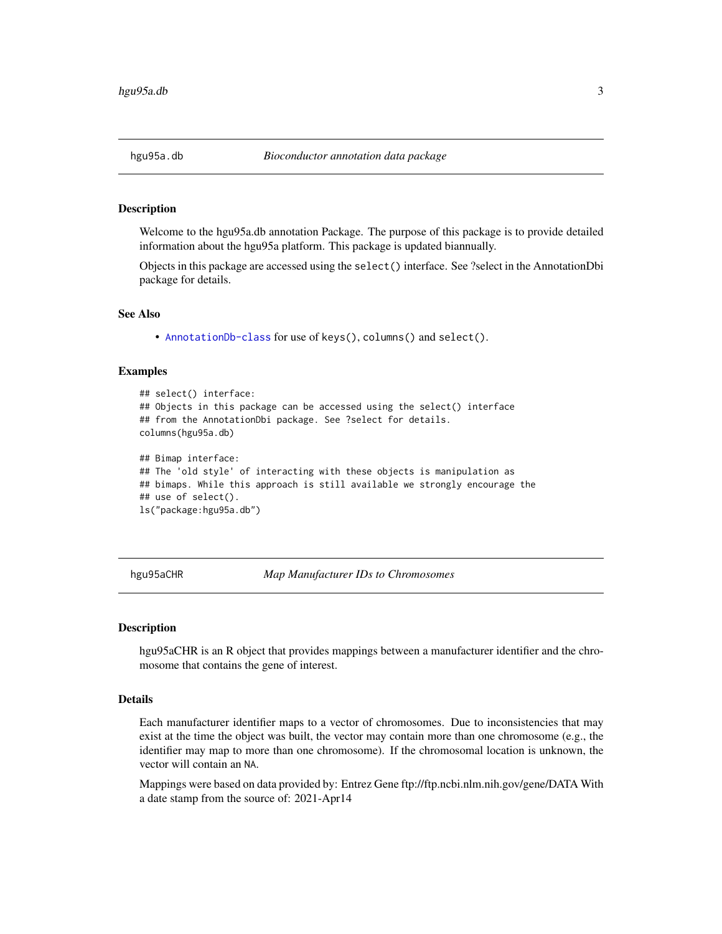<span id="page-2-0"></span>Welcome to the hgu95a.db annotation Package. The purpose of this package is to provide detailed information about the hgu95a platform. This package is updated biannually.

Objects in this package are accessed using the select() interface. See ?select in the AnnotationDbi package for details.

#### See Also

• [AnnotationDb-class](#page-0-0) for use of keys(), columns() and select().

#### Examples

```
## select() interface:
## Objects in this package can be accessed using the select() interface
## from the AnnotationDbi package. See ?select for details.
columns(hgu95a.db)
## Bimap interface:
## The 'old style' of interacting with these objects is manipulation as
## bimaps. While this approach is still available we strongly encourage the
## use of select().
ls("package:hgu95a.db")
```
hgu95aCHR *Map Manufacturer IDs to Chromosomes*

#### **Description**

hgu95aCHR is an R object that provides mappings between a manufacturer identifier and the chromosome that contains the gene of interest.

# Details

Each manufacturer identifier maps to a vector of chromosomes. Due to inconsistencies that may exist at the time the object was built, the vector may contain more than one chromosome (e.g., the identifier may map to more than one chromosome). If the chromosomal location is unknown, the vector will contain an NA.

Mappings were based on data provided by: Entrez Gene ftp://ftp.ncbi.nlm.nih.gov/gene/DATA With a date stamp from the source of: 2021-Apr14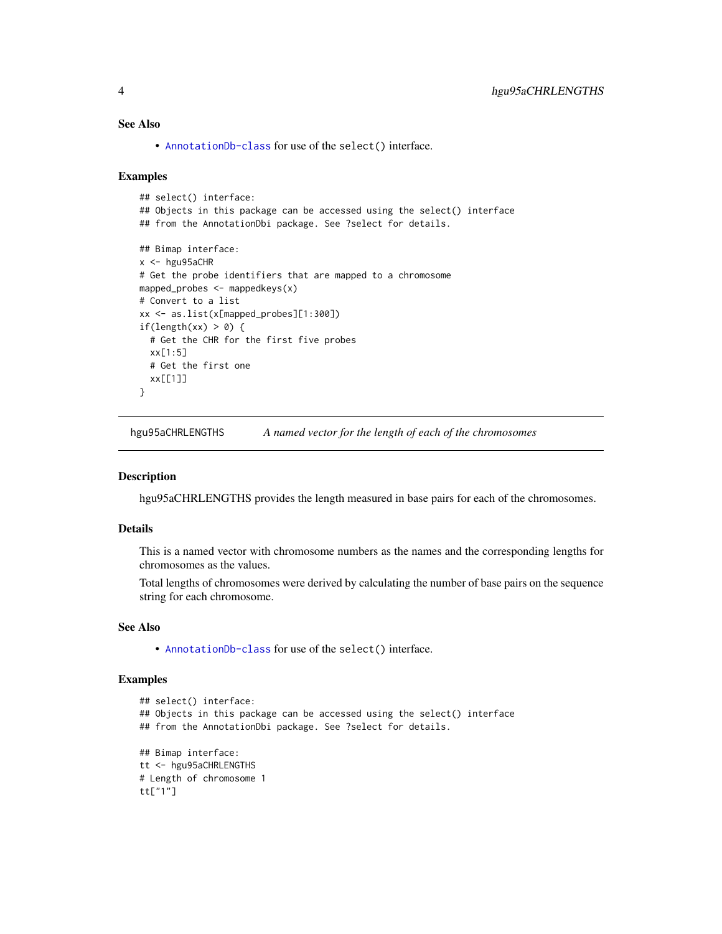# <span id="page-3-0"></span>See Also

• [AnnotationDb-class](#page-0-0) for use of the select() interface.

#### Examples

```
## select() interface:
## Objects in this package can be accessed using the select() interface
## from the AnnotationDbi package. See ?select for details.
## Bimap interface:
x < - hgu95aCHR
# Get the probe identifiers that are mapped to a chromosome
mapped_probes <- mappedkeys(x)
# Convert to a list
xx <- as.list(x[mapped_probes][1:300])
if(length(xx) > 0) {
  # Get the CHR for the first five probes
  xx[1:5]
  # Get the first one
  xx[[1]]
}
```
hgu95aCHRLENGTHS *A named vector for the length of each of the chromosomes*

#### Description

hgu95aCHRLENGTHS provides the length measured in base pairs for each of the chromosomes.

#### Details

This is a named vector with chromosome numbers as the names and the corresponding lengths for chromosomes as the values.

Total lengths of chromosomes were derived by calculating the number of base pairs on the sequence string for each chromosome.

# See Also

• [AnnotationDb-class](#page-0-0) for use of the select() interface.

```
## select() interface:
## Objects in this package can be accessed using the select() interface
## from the AnnotationDbi package. See ?select for details.
## Bimap interface:
tt <- hgu95aCHRLENGTHS
# Length of chromosome 1
tt["1"]
```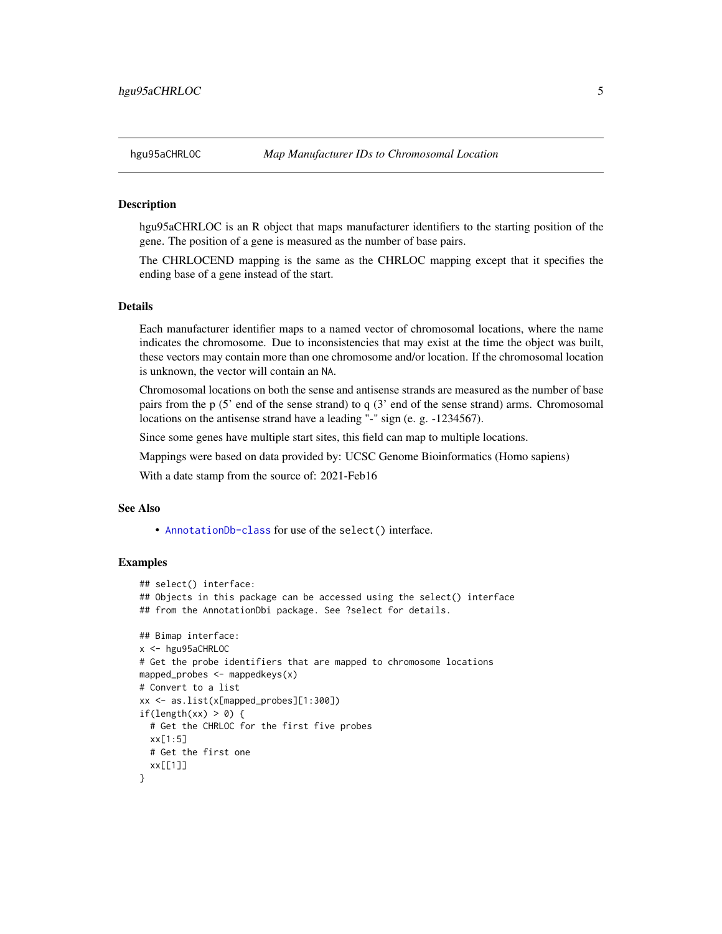hgu95aCHRLOC is an R object that maps manufacturer identifiers to the starting position of the gene. The position of a gene is measured as the number of base pairs.

The CHRLOCEND mapping is the same as the CHRLOC mapping except that it specifies the ending base of a gene instead of the start.

# Details

Each manufacturer identifier maps to a named vector of chromosomal locations, where the name indicates the chromosome. Due to inconsistencies that may exist at the time the object was built, these vectors may contain more than one chromosome and/or location. If the chromosomal location is unknown, the vector will contain an NA.

Chromosomal locations on both the sense and antisense strands are measured as the number of base pairs from the p (5' end of the sense strand) to q (3' end of the sense strand) arms. Chromosomal locations on the antisense strand have a leading "-" sign (e. g. -1234567).

Since some genes have multiple start sites, this field can map to multiple locations.

Mappings were based on data provided by: UCSC Genome Bioinformatics (Homo sapiens)

With a date stamp from the source of: 2021-Feb16

# See Also

• [AnnotationDb-class](#page-0-0) for use of the select() interface.

```
## select() interface:
## Objects in this package can be accessed using the select() interface
## from the AnnotationDbi package. See ?select for details.
## Bimap interface:
x <- hgu95aCHRLOC
# Get the probe identifiers that are mapped to chromosome locations
mapped_probes <- mappedkeys(x)
# Convert to a list
xx <- as.list(x[mapped_probes][1:300])
if(length(xx) > 0) {
 # Get the CHRLOC for the first five probes
 xx[1:5]
 # Get the first one
 xx[[1]]
}
```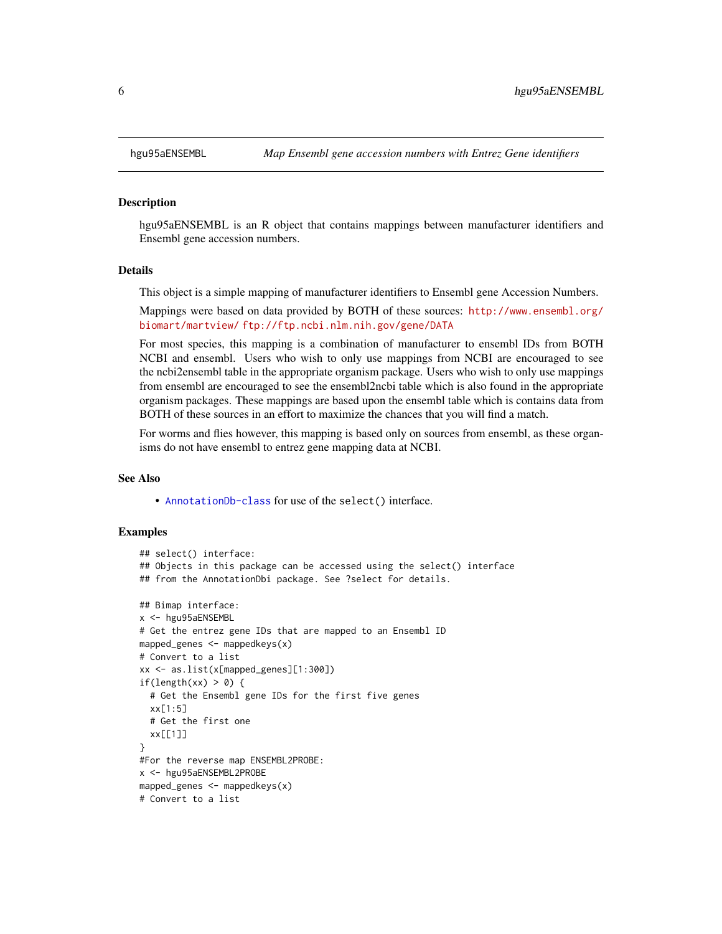hgu95aENSEMBL is an R object that contains mappings between manufacturer identifiers and Ensembl gene accession numbers.

# Details

This object is a simple mapping of manufacturer identifiers to Ensembl gene Accession Numbers.

Mappings were based on data provided by BOTH of these sources: [http://www.ensembl.org/](http://www.ensembl.org/biomart/martview/) [biomart/martview/](http://www.ensembl.org/biomart/martview/) <ftp://ftp.ncbi.nlm.nih.gov/gene/DATA>

For most species, this mapping is a combination of manufacturer to ensembl IDs from BOTH NCBI and ensembl. Users who wish to only use mappings from NCBI are encouraged to see the ncbi2ensembl table in the appropriate organism package. Users who wish to only use mappings from ensembl are encouraged to see the ensembl2ncbi table which is also found in the appropriate organism packages. These mappings are based upon the ensembl table which is contains data from BOTH of these sources in an effort to maximize the chances that you will find a match.

For worms and flies however, this mapping is based only on sources from ensembl, as these organisms do not have ensembl to entrez gene mapping data at NCBI.

#### See Also

• [AnnotationDb-class](#page-0-0) for use of the select() interface.

```
## select() interface:
## Objects in this package can be accessed using the select() interface
## from the AnnotationDbi package. See ?select for details.
## Bimap interface:
x <- hgu95aENSEMBL
# Get the entrez gene IDs that are mapped to an Ensembl ID
mapped_genes \leq mappedkeys(x)
# Convert to a list
xx <- as.list(x[mapped_genes][1:300])
if(length(xx) > 0) {
 # Get the Ensembl gene IDs for the first five genes
 xx[1:5]
 # Get the first one
 xx[[1]]
}
#For the reverse map ENSEMBL2PROBE:
x <- hgu95aENSEMBL2PROBE
mapped_genes <- mappedkeys(x)
# Convert to a list
```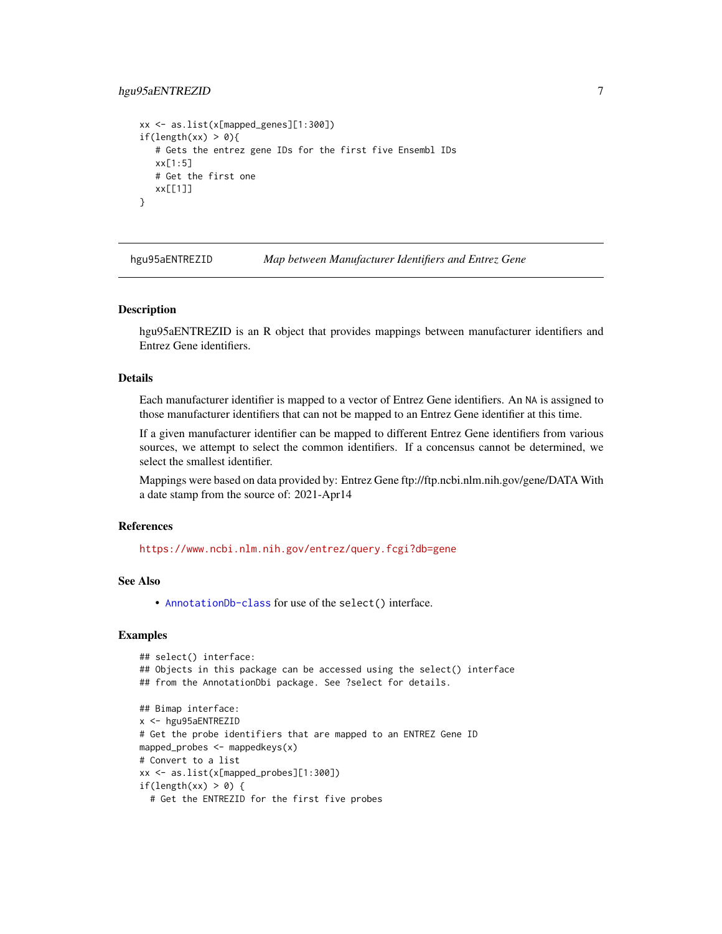# <span id="page-6-0"></span>hgu95aENTREZID 7

```
xx <- as.list(x[mapped_genes][1:300])
if(length(xx) > 0){
   # Gets the entrez gene IDs for the first five Ensembl IDs
  xx[1:5]
  # Get the first one
  xx[[1]]
}
```
hgu95aENTREZID *Map between Manufacturer Identifiers and Entrez Gene*

#### Description

hgu95aENTREZID is an R object that provides mappings between manufacturer identifiers and Entrez Gene identifiers.

# Details

Each manufacturer identifier is mapped to a vector of Entrez Gene identifiers. An NA is assigned to those manufacturer identifiers that can not be mapped to an Entrez Gene identifier at this time.

If a given manufacturer identifier can be mapped to different Entrez Gene identifiers from various sources, we attempt to select the common identifiers. If a concensus cannot be determined, we select the smallest identifier.

Mappings were based on data provided by: Entrez Gene ftp://ftp.ncbi.nlm.nih.gov/gene/DATA With a date stamp from the source of: 2021-Apr14

# References

<https://www.ncbi.nlm.nih.gov/entrez/query.fcgi?db=gene>

# See Also

• [AnnotationDb-class](#page-0-0) for use of the select() interface.

```
## select() interface:
## Objects in this package can be accessed using the select() interface
## from the AnnotationDbi package. See ?select for details.
## Bimap interface:
x <- hgu95aENTREZID
# Get the probe identifiers that are mapped to an ENTREZ Gene ID
mapped_probes <- mappedkeys(x)
# Convert to a list
xx <- as.list(x[mapped_probes][1:300])
if(length(xx) > 0) {
 # Get the ENTREZID for the first five probes
```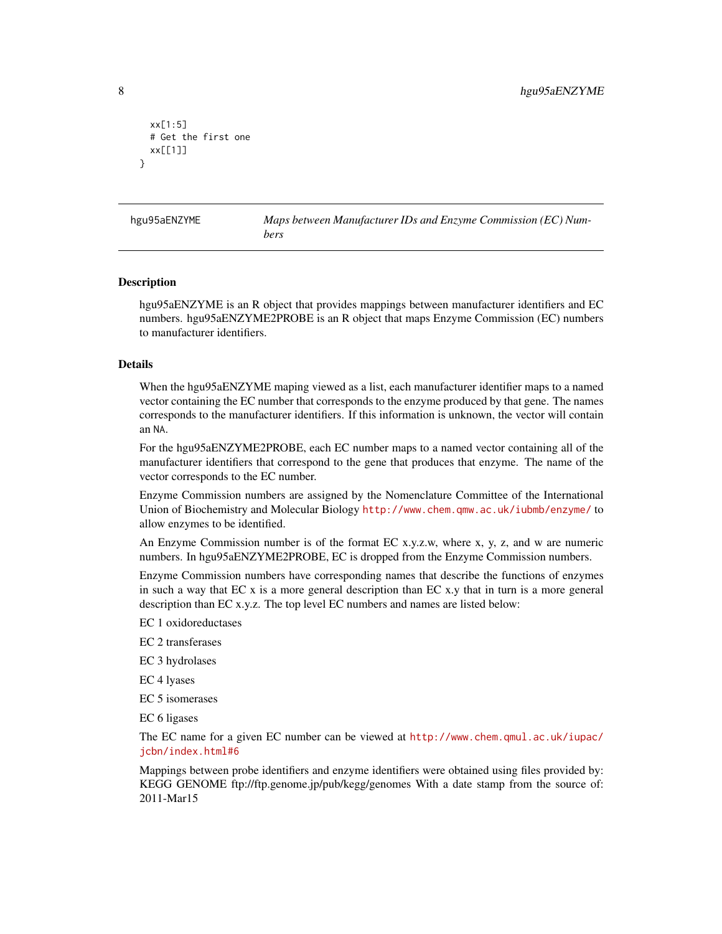```
xx[1:5]
 # Get the first one
 xx[[1]]
}
```
hgu95aENZYME *Maps between Manufacturer IDs and Enzyme Commission (EC) Numbers*

#### Description

hgu95aENZYME is an R object that provides mappings between manufacturer identifiers and EC numbers. hgu95aENZYME2PROBE is an R object that maps Enzyme Commission (EC) numbers to manufacturer identifiers.

#### Details

When the hgu95aENZYME maping viewed as a list, each manufacturer identifier maps to a named vector containing the EC number that corresponds to the enzyme produced by that gene. The names corresponds to the manufacturer identifiers. If this information is unknown, the vector will contain an NA.

For the hgu95aENZYME2PROBE, each EC number maps to a named vector containing all of the manufacturer identifiers that correspond to the gene that produces that enzyme. The name of the vector corresponds to the EC number.

Enzyme Commission numbers are assigned by the Nomenclature Committee of the International Union of Biochemistry and Molecular Biology <http://www.chem.qmw.ac.uk/iubmb/enzyme/> to allow enzymes to be identified.

An Enzyme Commission number is of the format EC x.y.z.w, where x, y, z, and w are numeric numbers. In hgu95aENZYME2PROBE, EC is dropped from the Enzyme Commission numbers.

Enzyme Commission numbers have corresponding names that describe the functions of enzymes in such a way that EC x is a more general description than EC x.y that in turn is a more general description than EC x.y.z. The top level EC numbers and names are listed below:

EC 1 oxidoreductases

EC 2 transferases

EC 3 hydrolases

EC 4 lyases

EC 5 isomerases

EC 6 ligases

The EC name for a given EC number can be viewed at [http://www.chem.qmul.ac.uk/iupac/](http://www.chem.qmul.ac.uk/iupac/jcbn/index.html#6) [jcbn/index.html#6](http://www.chem.qmul.ac.uk/iupac/jcbn/index.html#6)

Mappings between probe identifiers and enzyme identifiers were obtained using files provided by: KEGG GENOME ftp://ftp.genome.jp/pub/kegg/genomes With a date stamp from the source of: 2011-Mar15

<span id="page-7-0"></span>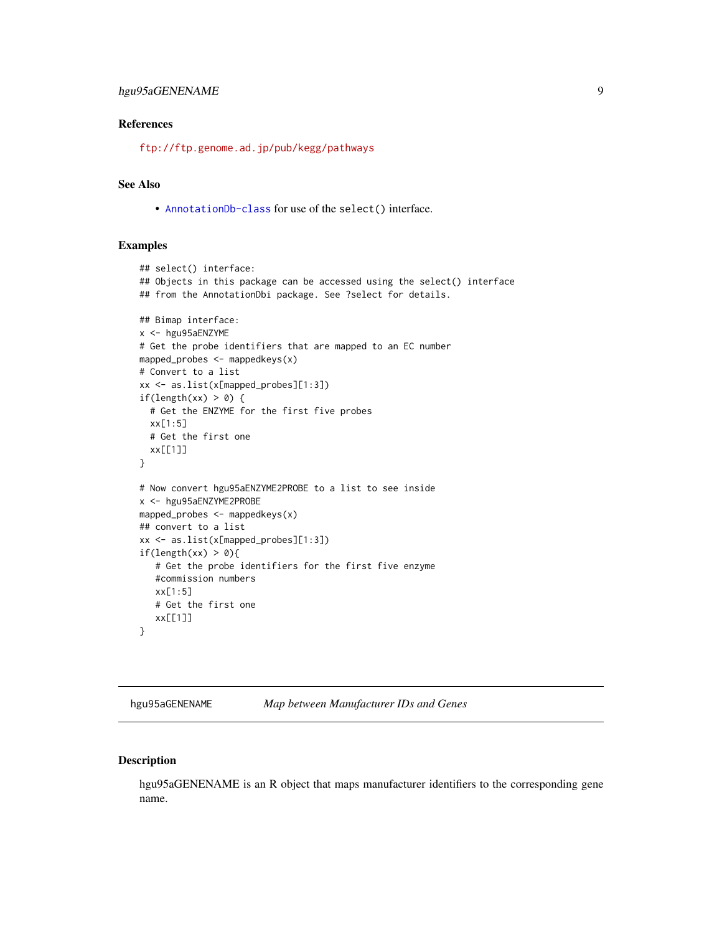# <span id="page-8-0"></span>hgu95aGENENAME 9

# References

<ftp://ftp.genome.ad.jp/pub/kegg/pathways>

# See Also

• [AnnotationDb-class](#page-0-0) for use of the select() interface.

#### Examples

```
## select() interface:
## Objects in this package can be accessed using the select() interface
## from the AnnotationDbi package. See ?select for details.
## Bimap interface:
x <- hgu95aENZYME
# Get the probe identifiers that are mapped to an EC number
mapped_probes <- mappedkeys(x)
# Convert to a list
xx <- as.list(x[mapped_probes][1:3])
if(length(xx) > 0) {
  # Get the ENZYME for the first five probes
  xx[1:5]
  # Get the first one
  xx[[1]]
}
# Now convert hgu95aENZYME2PROBE to a list to see inside
x <- hgu95aENZYME2PROBE
mapped_probes \leq mappedkeys(x)
## convert to a list
xx <- as.list(x[mapped_probes][1:3])
if(length(xx) > 0){
   # Get the probe identifiers for the first five enzyme
   #commission numbers
   xx[1:5]
   # Get the first one
   xx[[1]]
}
```
hgu95aGENENAME *Map between Manufacturer IDs and Genes*

# Description

hgu95aGENENAME is an R object that maps manufacturer identifiers to the corresponding gene name.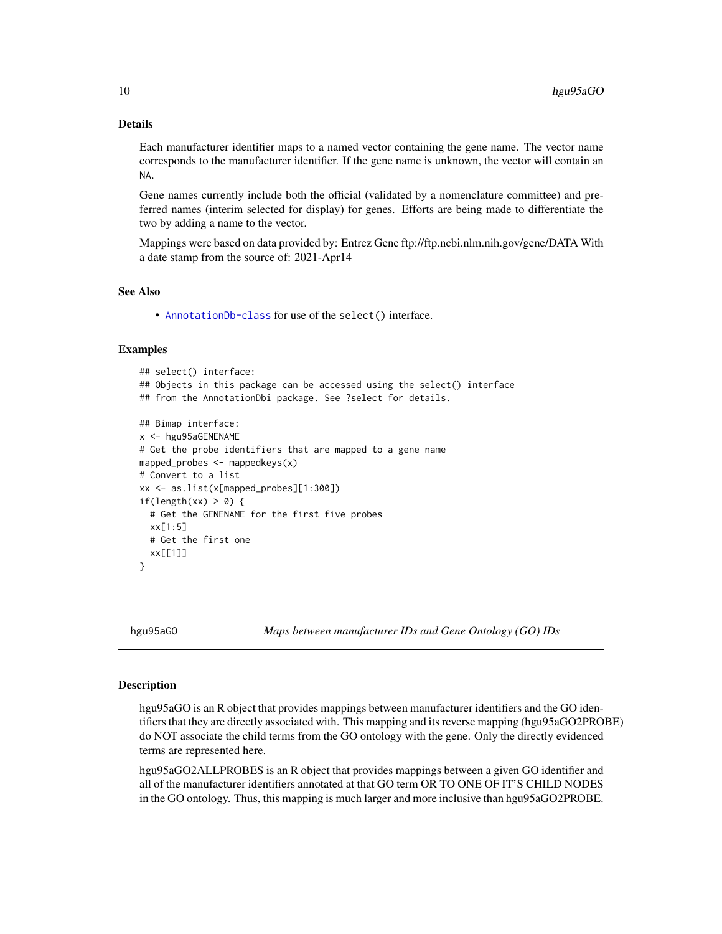# <span id="page-9-1"></span>Details

Each manufacturer identifier maps to a named vector containing the gene name. The vector name corresponds to the manufacturer identifier. If the gene name is unknown, the vector will contain an NA.

Gene names currently include both the official (validated by a nomenclature committee) and preferred names (interim selected for display) for genes. Efforts are being made to differentiate the two by adding a name to the vector.

Mappings were based on data provided by: Entrez Gene ftp://ftp.ncbi.nlm.nih.gov/gene/DATA With a date stamp from the source of: 2021-Apr14

### See Also

• [AnnotationDb-class](#page-0-0) for use of the select() interface.

#### Examples

```
## select() interface:
## Objects in this package can be accessed using the select() interface
## from the AnnotationDbi package. See ?select for details.
## Bimap interface:
x <- hgu95aGENENAME
# Get the probe identifiers that are mapped to a gene name
mapped_probes <- mappedkeys(x)
# Convert to a list
xx <- as.list(x[mapped_probes][1:300])
if(length(xx) > 0) {
 # Get the GENENAME for the first five probes
 xx[1:5]
 # Get the first one
 xx[[1]]
}
```
hgu95aGO *Maps between manufacturer IDs and Gene Ontology (GO) IDs*

# <span id="page-9-0"></span>Description

hgu95aGO is an R object that provides mappings between manufacturer identifiers and the GO identifiers that they are directly associated with. This mapping and its reverse mapping (hgu95aGO2PROBE) do NOT associate the child terms from the GO ontology with the gene. Only the directly evidenced terms are represented here.

hgu95aGO2ALLPROBES is an R object that provides mappings between a given GO identifier and all of the manufacturer identifiers annotated at that GO term OR TO ONE OF IT'S CHILD NODES in the GO ontology. Thus, this mapping is much larger and more inclusive than hgu95aGO2PROBE.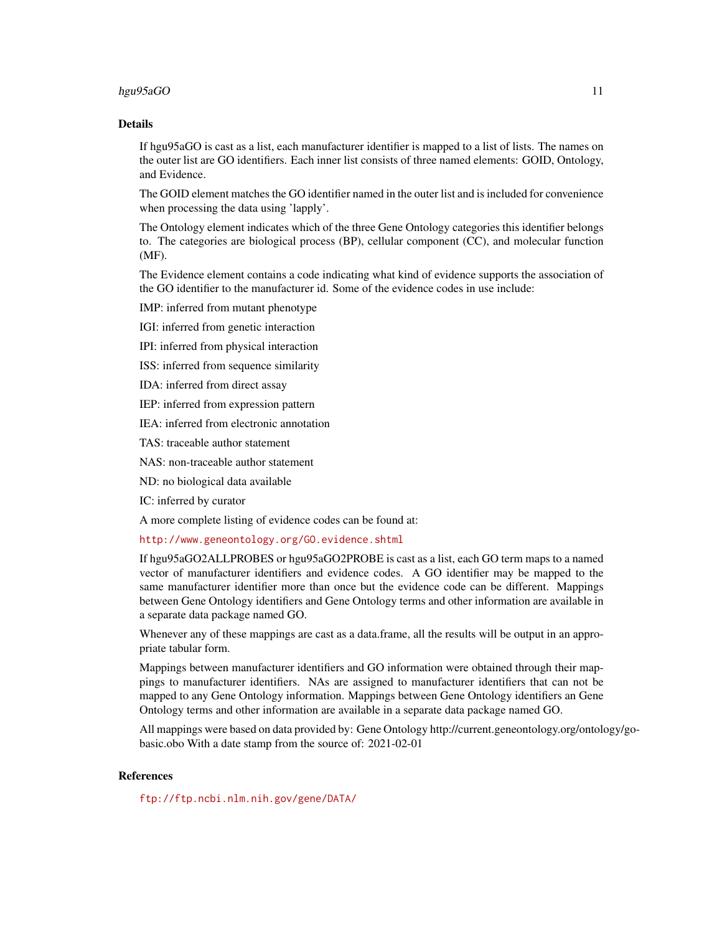# hgu95aGO 11

#### Details

If hgu95aGO is cast as a list, each manufacturer identifier is mapped to a list of lists. The names on the outer list are GO identifiers. Each inner list consists of three named elements: GOID, Ontology, and Evidence.

The GOID element matches the GO identifier named in the outer list and is included for convenience when processing the data using 'lapply'.

The Ontology element indicates which of the three Gene Ontology categories this identifier belongs to. The categories are biological process (BP), cellular component (CC), and molecular function (MF).

The Evidence element contains a code indicating what kind of evidence supports the association of the GO identifier to the manufacturer id. Some of the evidence codes in use include:

IMP: inferred from mutant phenotype

IGI: inferred from genetic interaction

IPI: inferred from physical interaction

ISS: inferred from sequence similarity

IDA: inferred from direct assay

IEP: inferred from expression pattern

IEA: inferred from electronic annotation

TAS: traceable author statement

NAS: non-traceable author statement

ND: no biological data available

IC: inferred by curator

A more complete listing of evidence codes can be found at:

<http://www.geneontology.org/GO.evidence.shtml>

If hgu95aGO2ALLPROBES or hgu95aGO2PROBE is cast as a list, each GO term maps to a named vector of manufacturer identifiers and evidence codes. A GO identifier may be mapped to the same manufacturer identifier more than once but the evidence code can be different. Mappings between Gene Ontology identifiers and Gene Ontology terms and other information are available in a separate data package named GO.

Whenever any of these mappings are cast as a data.frame, all the results will be output in an appropriate tabular form.

Mappings between manufacturer identifiers and GO information were obtained through their mappings to manufacturer identifiers. NAs are assigned to manufacturer identifiers that can not be mapped to any Gene Ontology information. Mappings between Gene Ontology identifiers an Gene Ontology terms and other information are available in a separate data package named GO.

All mappings were based on data provided by: Gene Ontology http://current.geneontology.org/ontology/gobasic.obo With a date stamp from the source of: 2021-02-01

# References

<ftp://ftp.ncbi.nlm.nih.gov/gene/DATA/>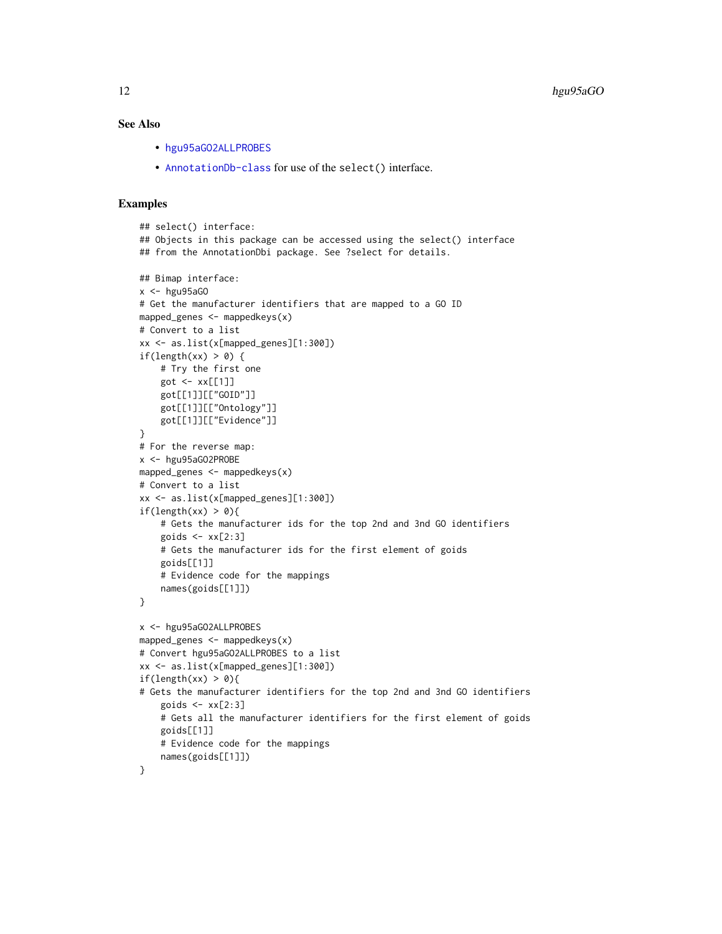# <span id="page-11-0"></span>See Also

- [hgu95aGO2ALLPROBES](#page-9-0)
- [AnnotationDb-class](#page-0-0) for use of the select() interface.

```
## select() interface:
## Objects in this package can be accessed using the select() interface
## from the AnnotationDbi package. See ?select for details.
## Bimap interface:
x < - hgu95aG0
# Get the manufacturer identifiers that are mapped to a GO ID
mapped_genes <- mappedkeys(x)
# Convert to a list
xx <- as.list(x[mapped_genes][1:300])
if(length(xx) > 0) {
    # Try the first one
   got <- xx[[1]]
    got[[1]][["GOID"]]
    got[[1]][["Ontology"]]
    got[[1]][["Evidence"]]
}
# For the reverse map:
x <- hgu95aGO2PROBE
mapped_genes <- mappedkeys(x)
# Convert to a list
xx <- as.list(x[mapped_genes][1:300])
if(length(xx) > 0){
    # Gets the manufacturer ids for the top 2nd and 3nd GO identifiers
    goids \leq -x \times [2:3]# Gets the manufacturer ids for the first element of goids
    goids[[1]]
    # Evidence code for the mappings
   names(goids[[1]])
}
x <- hgu95aGO2ALLPROBES
mapped_genes <- mappedkeys(x)
# Convert hgu95aGO2ALLPROBES to a list
xx <- as.list(x[mapped_genes][1:300])
if(length(xx) > 0){
# Gets the manufacturer identifiers for the top 2nd and 3nd GO identifiers
    goids \leq xx[2:3]# Gets all the manufacturer identifiers for the first element of goids
   goids[[1]]
    # Evidence code for the mappings
    names(goids[[1]])
}
```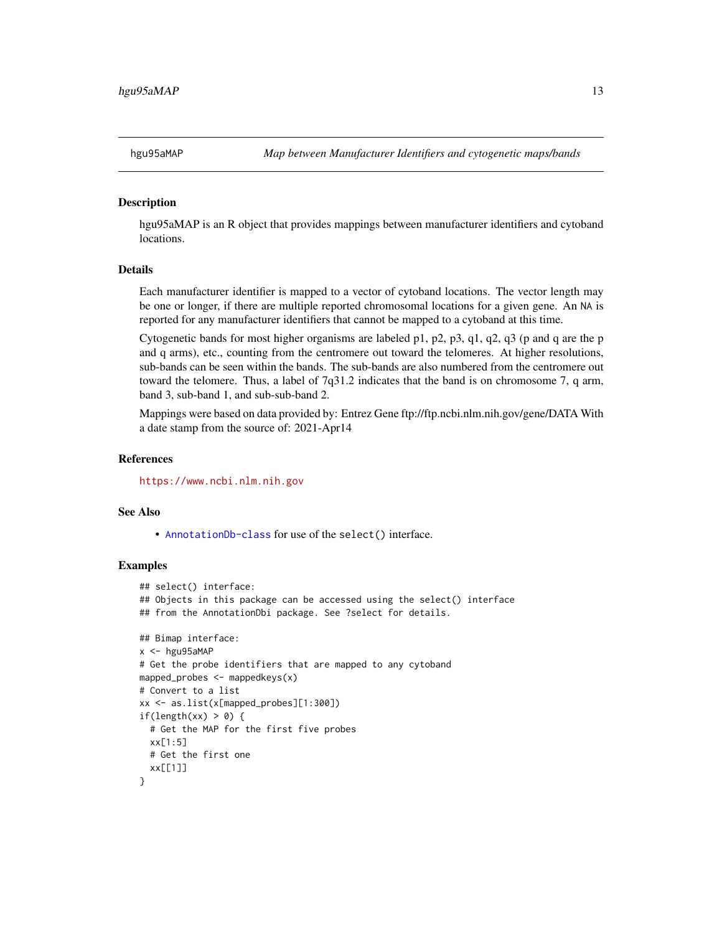<span id="page-12-0"></span>

hgu95aMAP is an R object that provides mappings between manufacturer identifiers and cytoband locations.

# Details

Each manufacturer identifier is mapped to a vector of cytoband locations. The vector length may be one or longer, if there are multiple reported chromosomal locations for a given gene. An NA is reported for any manufacturer identifiers that cannot be mapped to a cytoband at this time.

Cytogenetic bands for most higher organisms are labeled p1, p2, p3, q1, q2, q3 (p and q are the p and q arms), etc., counting from the centromere out toward the telomeres. At higher resolutions, sub-bands can be seen within the bands. The sub-bands are also numbered from the centromere out toward the telomere. Thus, a label of 7q31.2 indicates that the band is on chromosome 7, q arm, band 3, sub-band 1, and sub-sub-band 2.

Mappings were based on data provided by: Entrez Gene ftp://ftp.ncbi.nlm.nih.gov/gene/DATA With a date stamp from the source of: 2021-Apr14

#### **References**

<https://www.ncbi.nlm.nih.gov>

#### See Also

• [AnnotationDb-class](#page-0-0) for use of the select() interface.

```
## select() interface:
## Objects in this package can be accessed using the select() interface
## from the AnnotationDbi package. See ?select for details.
## Bimap interface:
x < - hgu95aMAP
# Get the probe identifiers that are mapped to any cytoband
mapped_probes <- mappedkeys(x)
# Convert to a list
xx <- as.list(x[mapped_probes][1:300])
if(length(xx) > 0) {
 # Get the MAP for the first five probes
 xx[1:5]
 # Get the first one
 xx[[1]]
}
```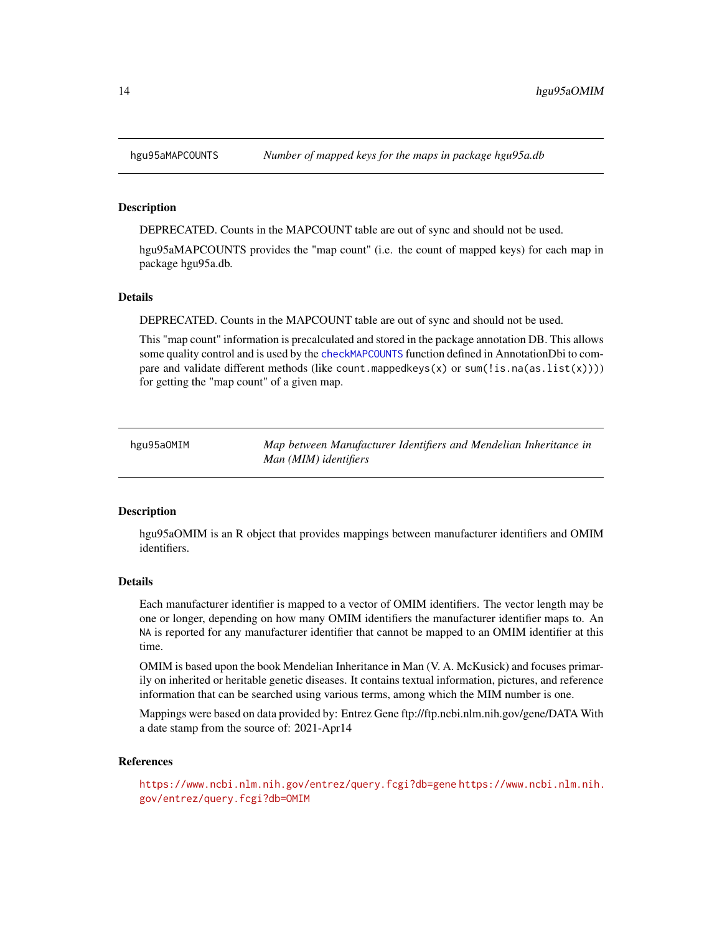<span id="page-13-0"></span>

DEPRECATED. Counts in the MAPCOUNT table are out of sync and should not be used.

hgu95aMAPCOUNTS provides the "map count" (i.e. the count of mapped keys) for each map in package hgu95a.db.

# Details

DEPRECATED. Counts in the MAPCOUNT table are out of sync and should not be used.

This "map count" information is precalculated and stored in the package annotation DB. This allows some quality control and is used by the [checkMAPCOUNTS](#page-0-0) function defined in AnnotationDbi to compare and validate different methods (like count.mappedkeys(x) or sum(!is.na(as.list(x)))) for getting the "map count" of a given map.

hgu95aOMIM *Map between Manufacturer Identifiers and Mendelian Inheritance in Man (MIM) identifiers*

#### Description

hgu95aOMIM is an R object that provides mappings between manufacturer identifiers and OMIM identifiers.

#### Details

Each manufacturer identifier is mapped to a vector of OMIM identifiers. The vector length may be one or longer, depending on how many OMIM identifiers the manufacturer identifier maps to. An NA is reported for any manufacturer identifier that cannot be mapped to an OMIM identifier at this time.

OMIM is based upon the book Mendelian Inheritance in Man (V. A. McKusick) and focuses primarily on inherited or heritable genetic diseases. It contains textual information, pictures, and reference information that can be searched using various terms, among which the MIM number is one.

Mappings were based on data provided by: Entrez Gene ftp://ftp.ncbi.nlm.nih.gov/gene/DATA With a date stamp from the source of: 2021-Apr14

#### References

<https://www.ncbi.nlm.nih.gov/entrez/query.fcgi?db=gene> [https://www.ncbi.nlm.nih.](https://www.ncbi.nlm.nih.gov/entrez/query.fcgi?db=OMIM) [gov/entrez/query.fcgi?db=OMIM](https://www.ncbi.nlm.nih.gov/entrez/query.fcgi?db=OMIM)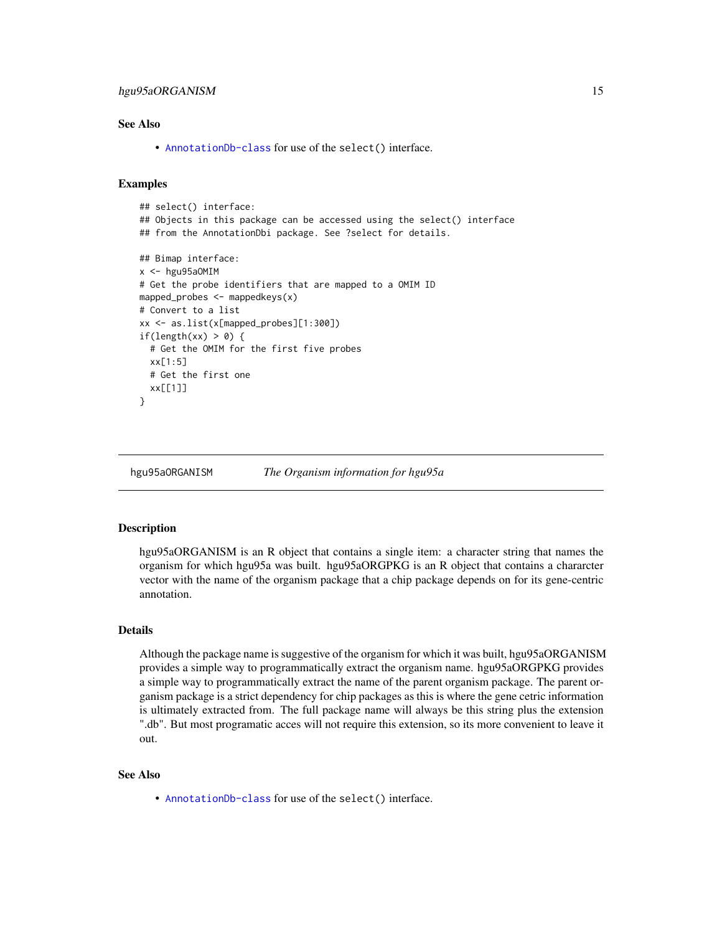# <span id="page-14-0"></span>hgu95aORGANISM 15

### See Also

• [AnnotationDb-class](#page-0-0) for use of the select() interface.

# Examples

```
## select() interface:
## Objects in this package can be accessed using the select() interface
## from the AnnotationDbi package. See ?select for details.
## Bimap interface:
x < - hgu95a0MIM
# Get the probe identifiers that are mapped to a OMIM ID
mapped_probes <- mappedkeys(x)
# Convert to a list
xx <- as.list(x[mapped_probes][1:300])
if(length(xx) > 0) {
 # Get the OMIM for the first five probes
 xx[1:5]
 # Get the first one
 xx[[1]]
}
```
hgu95aORGANISM *The Organism information for hgu95a*

#### **Description**

hgu95aORGANISM is an R object that contains a single item: a character string that names the organism for which hgu95a was built. hgu95aORGPKG is an R object that contains a chararcter vector with the name of the organism package that a chip package depends on for its gene-centric annotation.

# Details

Although the package name is suggestive of the organism for which it was built, hgu95aORGANISM provides a simple way to programmatically extract the organism name. hgu95aORGPKG provides a simple way to programmatically extract the name of the parent organism package. The parent organism package is a strict dependency for chip packages as this is where the gene cetric information is ultimately extracted from. The full package name will always be this string plus the extension ".db". But most programatic acces will not require this extension, so its more convenient to leave it out.

#### See Also

• [AnnotationDb-class](#page-0-0) for use of the select() interface.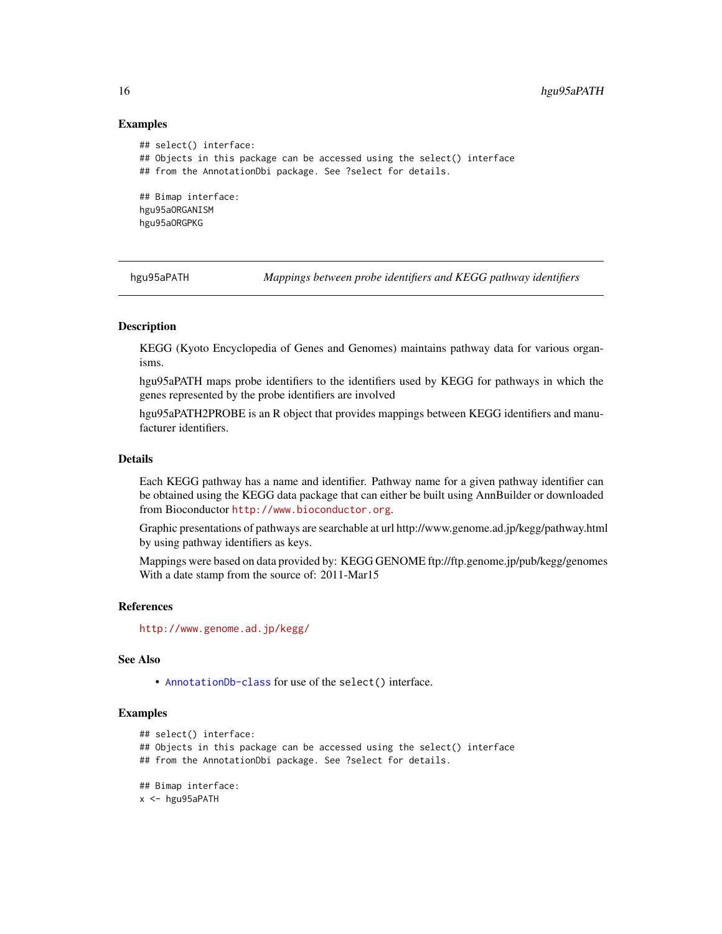### Examples

```
## select() interface:
## Objects in this package can be accessed using the select() interface
## from the AnnotationDbi package. See ?select for details.
## Bimap interface:
hgu95aORGANISM
hgu95aORGPKG
```
hgu95aPATH *Mappings between probe identifiers and KEGG pathway identifiers*

# Description

KEGG (Kyoto Encyclopedia of Genes and Genomes) maintains pathway data for various organisms.

hgu95aPATH maps probe identifiers to the identifiers used by KEGG for pathways in which the genes represented by the probe identifiers are involved

hgu95aPATH2PROBE is an R object that provides mappings between KEGG identifiers and manufacturer identifiers.

# Details

Each KEGG pathway has a name and identifier. Pathway name for a given pathway identifier can be obtained using the KEGG data package that can either be built using AnnBuilder or downloaded from Bioconductor <http://www.bioconductor.org>.

Graphic presentations of pathways are searchable at url http://www.genome.ad.jp/kegg/pathway.html by using pathway identifiers as keys.

Mappings were based on data provided by: KEGG GENOME ftp://ftp.genome.jp/pub/kegg/genomes With a date stamp from the source of: 2011-Mar15

#### References

<http://www.genome.ad.jp/kegg/>

# See Also

• [AnnotationDb-class](#page-0-0) for use of the select() interface.

```
## select() interface:
## Objects in this package can be accessed using the select() interface
## from the AnnotationDbi package. See ?select for details.
## Bimap interface:
x <- hgu95aPATH
```
<span id="page-15-0"></span>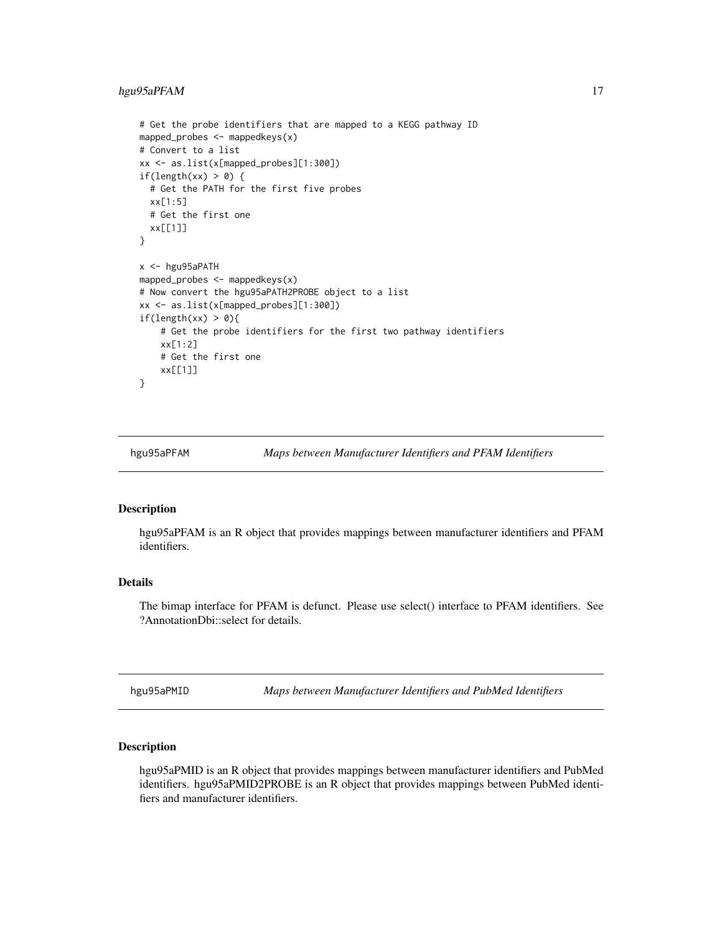# <span id="page-16-0"></span>hgu95aPFAM 17

```
# Get the probe identifiers that are mapped to a KEGG pathway ID
mapped_probes <- mappedkeys(x)
# Convert to a list
xx <- as.list(x[mapped_probes][1:300])
if(length(xx) > 0) {
 # Get the PATH for the first five probes
 xx[1:5]
 # Get the first one
 xx[[1]]
}
x <- hgu95aPATH
mapped_probes <- mappedkeys(x)
# Now convert the hgu95aPATH2PROBE object to a list
xx <- as.list(x[mapped_probes][1:300])
if(length(xx) > 0){
    # Get the probe identifiers for the first two pathway identifiers
   xx[1:2]
    # Get the first one
    xx[[1]]
}
```
hgu95aPFAM *Maps between Manufacturer Identifiers and PFAM Identifiers*

#### Description

hgu95aPFAM is an R object that provides mappings between manufacturer identifiers and PFAM identifiers.

# Details

The bimap interface for PFAM is defunct. Please use select() interface to PFAM identifiers. See ?AnnotationDbi::select for details.

hgu95aPMID *Maps between Manufacturer Identifiers and PubMed Identifiers*

#### Description

hgu95aPMID is an R object that provides mappings between manufacturer identifiers and PubMed identifiers. hgu95aPMID2PROBE is an R object that provides mappings between PubMed identifiers and manufacturer identifiers.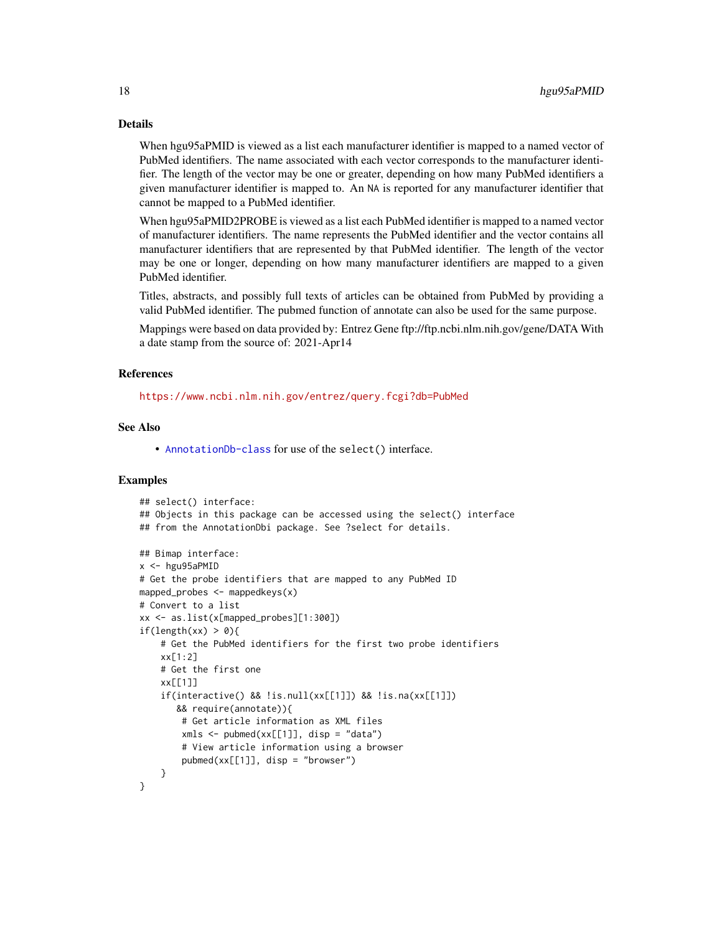# Details

When hgu95aPMID is viewed as a list each manufacturer identifier is mapped to a named vector of PubMed identifiers. The name associated with each vector corresponds to the manufacturer identifier. The length of the vector may be one or greater, depending on how many PubMed identifiers a given manufacturer identifier is mapped to. An NA is reported for any manufacturer identifier that cannot be mapped to a PubMed identifier.

When hgu95aPMID2PROBE is viewed as a list each PubMed identifier is mapped to a named vector of manufacturer identifiers. The name represents the PubMed identifier and the vector contains all manufacturer identifiers that are represented by that PubMed identifier. The length of the vector may be one or longer, depending on how many manufacturer identifiers are mapped to a given PubMed identifier.

Titles, abstracts, and possibly full texts of articles can be obtained from PubMed by providing a valid PubMed identifier. The pubmed function of annotate can also be used for the same purpose.

Mappings were based on data provided by: Entrez Gene ftp://ftp.ncbi.nlm.nih.gov/gene/DATA With a date stamp from the source of: 2021-Apr14

#### References

<https://www.ncbi.nlm.nih.gov/entrez/query.fcgi?db=PubMed>

# See Also

• [AnnotationDb-class](#page-0-0) for use of the select() interface.

```
## select() interface:
## Objects in this package can be accessed using the select() interface
## from the AnnotationDbi package. See ?select for details.
## Bimap interface:
x < - hgu95aPMID
# Get the probe identifiers that are mapped to any PubMed ID
mapped_probes \leq mappedkeys(x)
# Convert to a list
xx <- as.list(x[mapped_probes][1:300])
if(length(xx) > 0)# Get the PubMed identifiers for the first two probe identifiers
    xx[1:2]
    # Get the first one
    xx[[1]]
    if(interactive() && !is.null(xx[[1]]) && !is.na(xx[[1]])
       && require(annotate)){
        # Get article information as XML files
        xmls < -pubmed(xx[[1]], disp = "data")# View article information using a browser
        pubmed(xx[[1]], disp = "browser")
    }
}
```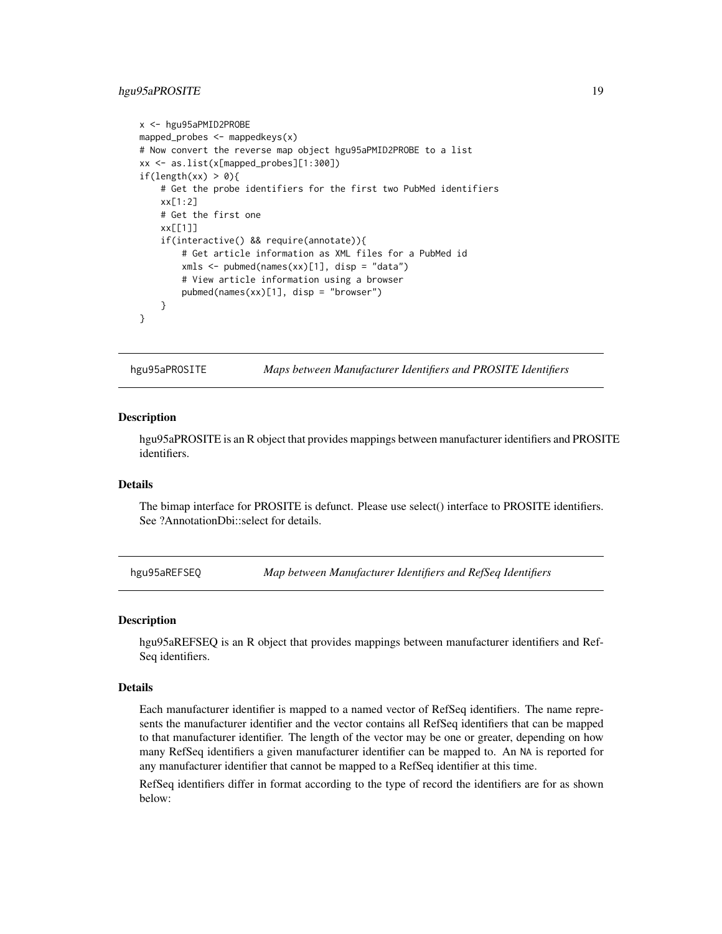# <span id="page-18-0"></span>hgu95aPROSITE 19

```
x <- hgu95aPMID2PROBE
mapped_probes <- mappedkeys(x)
# Now convert the reverse map object hgu95aPMID2PROBE to a list
xx <- as.list(x[mapped_probes][1:300])
if(length(xx) > 0){
    # Get the probe identifiers for the first two PubMed identifiers
    xx[1:2]
    # Get the first one
    xx[[1]]
    if(interactive() && require(annotate)){
       # Get article information as XML files for a PubMed id
       xmls <- pubmed(names(xx)[1], disp = "data")
       # View article information using a browser
       pubmed(names(xx)[1], disp = "browser")
   }
}
```
hgu95aPROSITE *Maps between Manufacturer Identifiers and PROSITE Identifiers*

#### **Description**

hgu95aPROSITE is an R object that provides mappings between manufacturer identifiers and PROSITE identifiers.

# Details

The bimap interface for PROSITE is defunct. Please use select() interface to PROSITE identifiers. See ?AnnotationDbi::select for details.

hgu95aREFSEQ *Map between Manufacturer Identifiers and RefSeq Identifiers*

#### Description

hgu95aREFSEQ is an R object that provides mappings between manufacturer identifiers and Ref-Seq identifiers.

#### Details

Each manufacturer identifier is mapped to a named vector of RefSeq identifiers. The name represents the manufacturer identifier and the vector contains all RefSeq identifiers that can be mapped to that manufacturer identifier. The length of the vector may be one or greater, depending on how many RefSeq identifiers a given manufacturer identifier can be mapped to. An NA is reported for any manufacturer identifier that cannot be mapped to a RefSeq identifier at this time.

RefSeq identifiers differ in format according to the type of record the identifiers are for as shown below: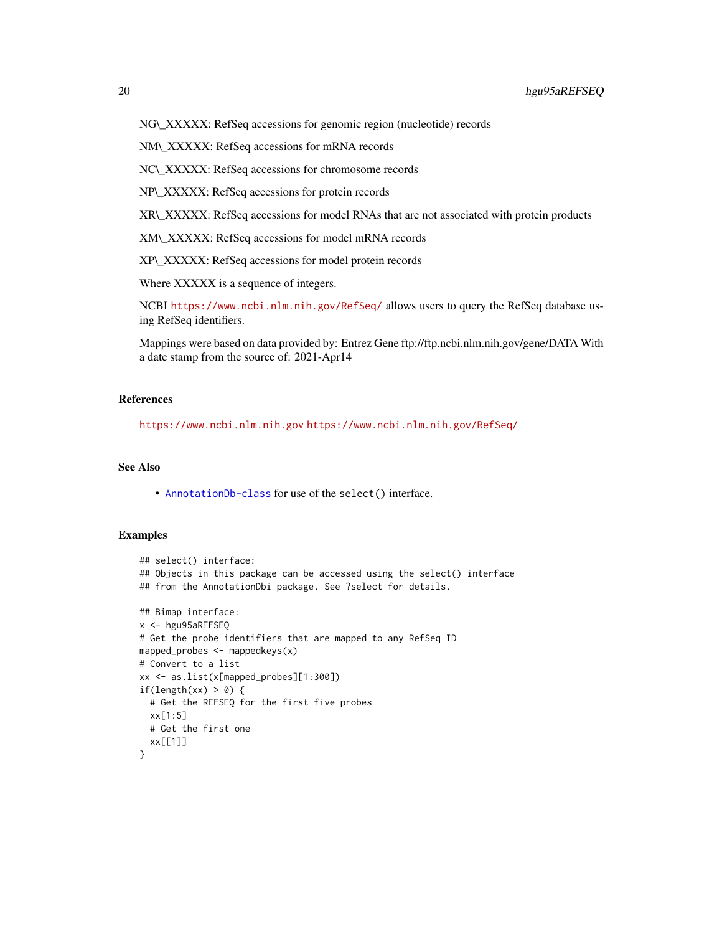NM\\_XXXXX: RefSeq accessions for mRNA records

NC\\_XXXXX: RefSeq accessions for chromosome records

NP\\_XXXXX: RefSeq accessions for protein records

XR\\_XXXXX: RefSeq accessions for model RNAs that are not associated with protein products

XM\\_XXXXX: RefSeq accessions for model mRNA records

XP\\_XXXXX: RefSeq accessions for model protein records

Where XXXXX is a sequence of integers.

NCBI <https://www.ncbi.nlm.nih.gov/RefSeq/> allows users to query the RefSeq database using RefSeq identifiers.

Mappings were based on data provided by: Entrez Gene ftp://ftp.ncbi.nlm.nih.gov/gene/DATA With a date stamp from the source of: 2021-Apr14

# References

<https://www.ncbi.nlm.nih.gov> <https://www.ncbi.nlm.nih.gov/RefSeq/>

# See Also

• [AnnotationDb-class](#page-0-0) for use of the select() interface.

```
## select() interface:
## Objects in this package can be accessed using the select() interface
## from the AnnotationDbi package. See ?select for details.
## Bimap interface:
x <- hgu95aREFSEQ
# Get the probe identifiers that are mapped to any RefSeq ID
mapped_probes \leq mappedkeys(x)
# Convert to a list
xx <- as.list(x[mapped_probes][1:300])
if(length(xx) > \theta) {
  # Get the REFSEQ for the first five probes
  xx[1:5]
  # Get the first one
  xx[[1]]
}
```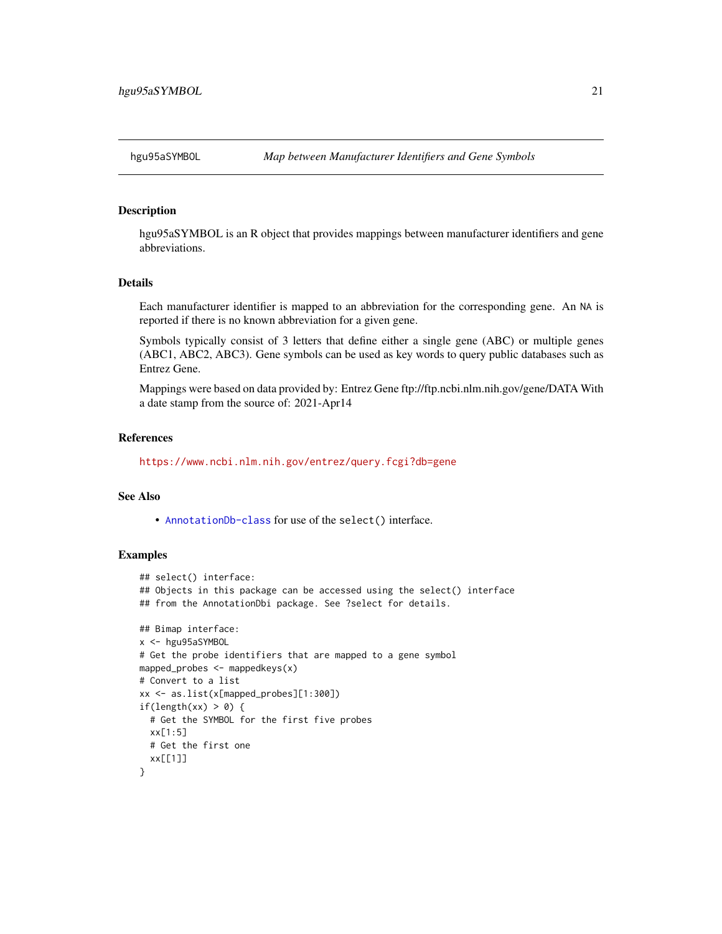<span id="page-20-0"></span>

hgu95aSYMBOL is an R object that provides mappings between manufacturer identifiers and gene abbreviations.

# Details

Each manufacturer identifier is mapped to an abbreviation for the corresponding gene. An NA is reported if there is no known abbreviation for a given gene.

Symbols typically consist of 3 letters that define either a single gene (ABC) or multiple genes (ABC1, ABC2, ABC3). Gene symbols can be used as key words to query public databases such as Entrez Gene.

Mappings were based on data provided by: Entrez Gene ftp://ftp.ncbi.nlm.nih.gov/gene/DATA With a date stamp from the source of: 2021-Apr14

#### References

<https://www.ncbi.nlm.nih.gov/entrez/query.fcgi?db=gene>

# See Also

• [AnnotationDb-class](#page-0-0) for use of the select() interface.

```
## select() interface:
## Objects in this package can be accessed using the select() interface
## from the AnnotationDbi package. See ?select for details.
## Bimap interface:
x <- hgu95aSYMBOL
# Get the probe identifiers that are mapped to a gene symbol
mapped_probes <- mappedkeys(x)
# Convert to a list
xx <- as.list(x[mapped_probes][1:300])
if(length(xx) > 0) {
  # Get the SYMBOL for the first five probes
  xx[1:5]
  # Get the first one
  xx[[1]]
}
```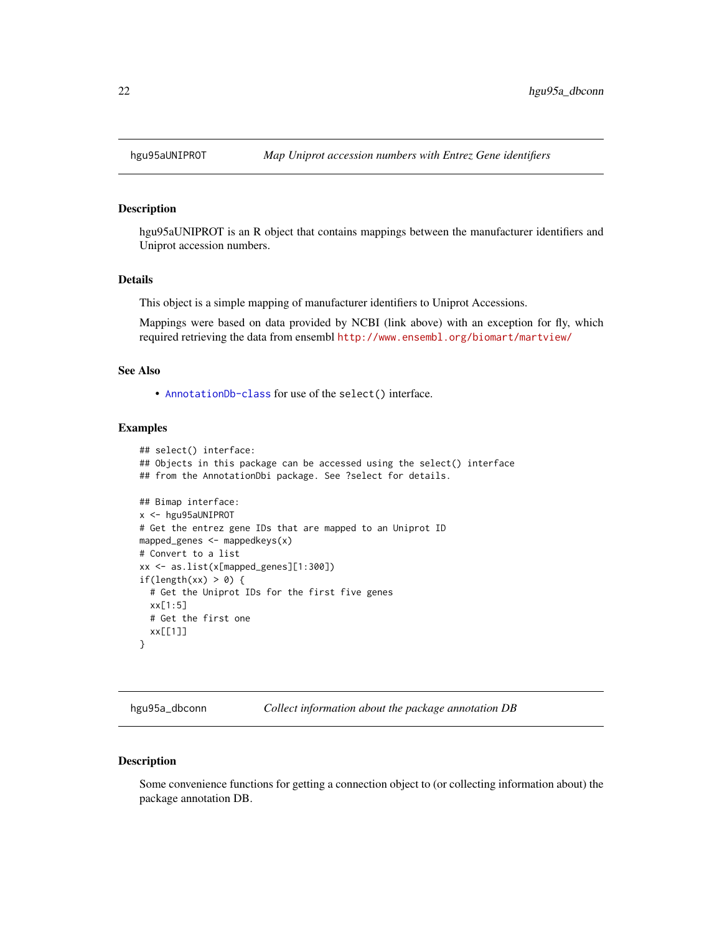<span id="page-21-0"></span>

hgu95aUNIPROT is an R object that contains mappings between the manufacturer identifiers and Uniprot accession numbers.

#### Details

This object is a simple mapping of manufacturer identifiers to Uniprot Accessions.

Mappings were based on data provided by NCBI (link above) with an exception for fly, which required retrieving the data from ensembl <http://www.ensembl.org/biomart/martview/>

# See Also

• [AnnotationDb-class](#page-0-0) for use of the select() interface.

# Examples

```
## select() interface:
## Objects in this package can be accessed using the select() interface
## from the AnnotationDbi package. See ?select for details.
## Bimap interface:
x <- hgu95aUNIPROT
# Get the entrez gene IDs that are mapped to an Uniprot ID
mapped_genes <- mappedkeys(x)
# Convert to a list
xx <- as.list(x[mapped_genes][1:300])
if(length(xx) > 0) {
  # Get the Uniprot IDs for the first five genes
  xx[1:5]
  # Get the first one
  xx[[1]]
}
```
hgu95a\_dbconn *Collect information about the package annotation DB*

#### Description

Some convenience functions for getting a connection object to (or collecting information about) the package annotation DB.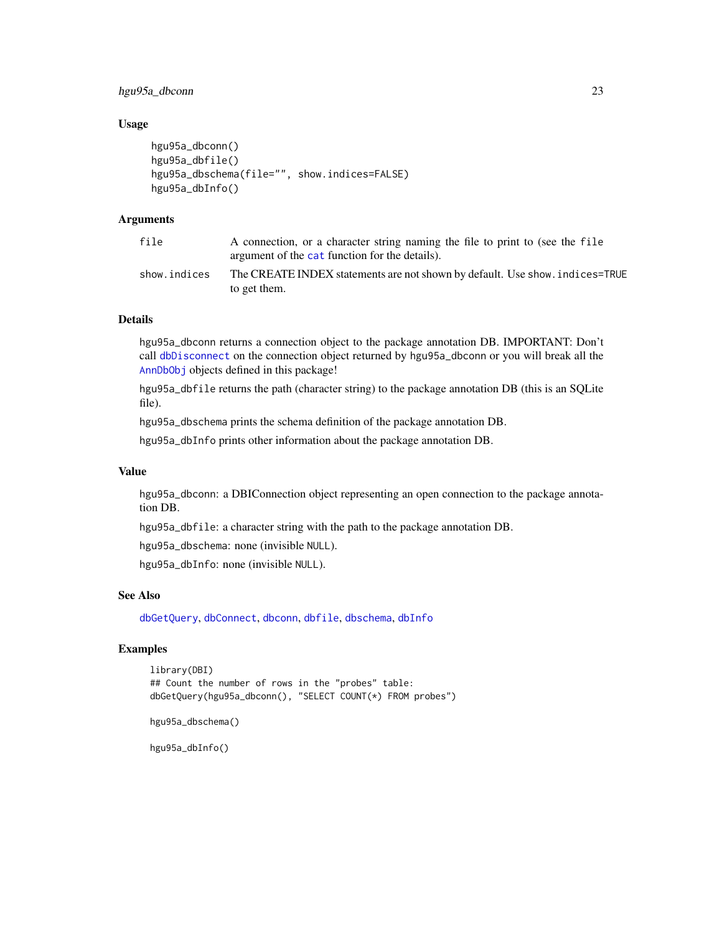# <span id="page-22-0"></span>hgu95a\_dbconn 23

### Usage

```
hgu95a_dbconn()
hgu95a_dbfile()
hgu95a_dbschema(file="", show.indices=FALSE)
hgu95a_dbInfo()
```
# Arguments

| file         | A connection, or a character string naming the file to print to (see the file<br>argument of the cat function for the details). |
|--------------|---------------------------------------------------------------------------------------------------------------------------------|
| show.indices | The CREATE INDEX statements are not shown by default. Use show, indices=TRUE<br>to get them.                                    |

# Details

hgu95a\_dbconn returns a connection object to the package annotation DB. IMPORTANT: Don't call [dbDisconnect](#page-0-0) on the connection object returned by hgu95a\_dbconn or you will break all the [AnnDbObj](#page-0-0) objects defined in this package!

hgu95a\_dbfile returns the path (character string) to the package annotation DB (this is an SQLite file).

hgu95a\_dbschema prints the schema definition of the package annotation DB.

hgu95a\_dbInfo prints other information about the package annotation DB.

### Value

hgu95a\_dbconn: a DBIConnection object representing an open connection to the package annotation DB.

hgu95a\_dbfile: a character string with the path to the package annotation DB.

hgu95a\_dbschema: none (invisible NULL).

hgu95a\_dbInfo: none (invisible NULL).

# See Also

[dbGetQuery](#page-0-0), [dbConnect](#page-0-0), [dbconn](#page-0-0), [dbfile](#page-0-0), [dbschema](#page-0-0), [dbInfo](#page-0-0)

# Examples

```
library(DBI)
## Count the number of rows in the "probes" table:
dbGetQuery(hgu95a_dbconn(), "SELECT COUNT(*) FROM probes")
```

```
hgu95a_dbschema()
```
hgu95a\_dbInfo()